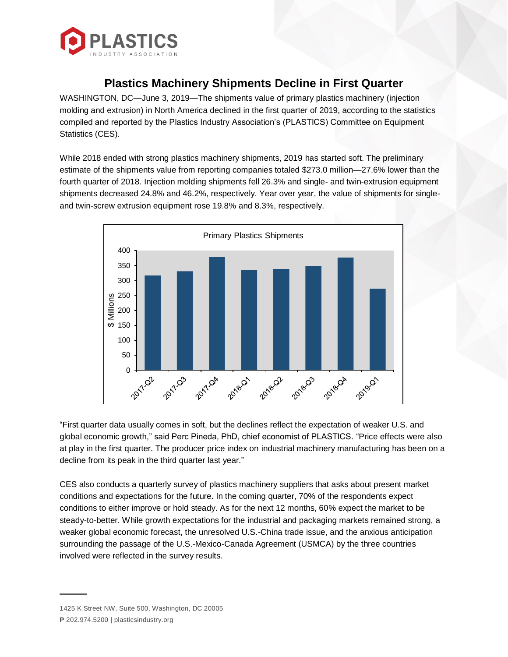

## **Plastics Machinery Shipments Decline in First Quarter**

WASHINGTON, DC—June 3, 2019—The shipments value of primary plastics machinery (injection molding and extrusion) in North America declined in the first quarter of 2019, according to the statistics compiled and reported by the Plastics Industry Association's (PLASTICS) Committee on Equipment Statistics (CES).

While 2018 ended with strong plastics machinery shipments, 2019 has started soft. The preliminary estimate of the shipments value from reporting companies totaled \$273.0 million—27.6% lower than the fourth quarter of 2018. Injection molding shipments fell 26.3% and single- and twin-extrusion equipment shipments decreased 24.8% and 46.2%, respectively. Year over year, the value of shipments for singleand twin-screw extrusion equipment rose 19.8% and 8.3%, respectively.



"First quarter data usually comes in soft, but the declines reflect the expectation of weaker U.S. and global economic growth," said Perc Pineda, PhD, chief economist of PLASTICS. "Price effects were also at play in the first quarter. The producer price index on industrial machinery manufacturing has been on a decline from its peak in the third quarter last year."

CES also conducts a quarterly survey of plastics machinery suppliers that asks about present market conditions and expectations for the future. In the coming quarter, 70% of the respondents expect conditions to either improve or hold steady. As for the next 12 months, 60% expect the market to be steady-to-better. While growth expectations for the industrial and packaging markets remained strong, a weaker global economic forecast, the unresolved U.S.-China trade issue, and the anxious anticipation surrounding the passage of the U.S.-Mexico-Canada Agreement (USMCA) by the three countries involved were reflected in the survey results.